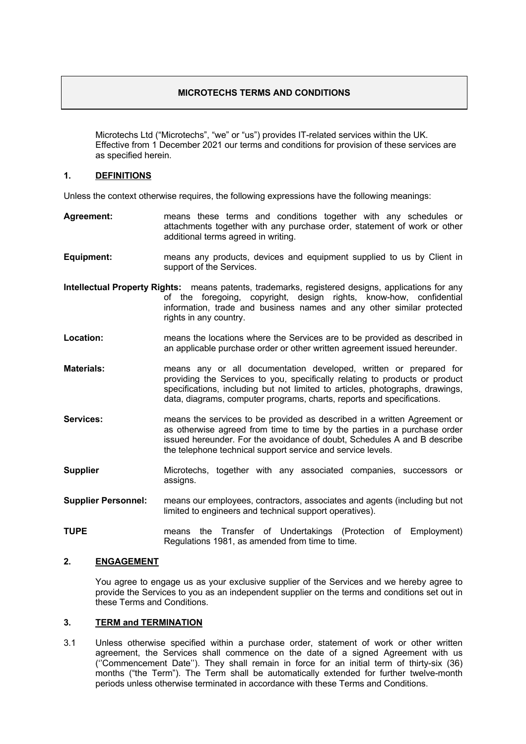# **MICROTECHS TERMS AND CONDITIONS**

Microtechs Ltd ("Microtechs", "we" or "us") provides IT-related services within the UK. Effective from 1 December 2021 our terms and conditions for provision of these services are as specified herein.

#### **1. DEFINITIONS**

Unless the context otherwise requires, the following expressions have the following meanings:

- **Agreement:** means these terms and conditions together with any schedules or attachments together with any purchase order, statement of work or other additional terms agreed in writing.
- **Equipment:** means any products, devices and equipment supplied to us by Client in support of the Services.
- **Intellectual Property Rights:** means patents, trademarks, registered designs, applications for any of the foregoing, copyright, design rights, know-how, confidential information, trade and business names and any other similar protected rights in any country.
- **Location:** means the locations where the Services are to be provided as described in an applicable purchase order or other written agreement issued hereunder.
- **Materials:** means any or all documentation developed, written or prepared for providing the Services to you, specifically relating to products or product specifications, including but not limited to articles, photographs, drawings, data, diagrams, computer programs, charts, reports and specifications.
- **Services:** means the services to be provided as described in a written Agreement or as otherwise agreed from time to time by the parties in a purchase order issued hereunder. For the avoidance of doubt, Schedules A and B describe the telephone technical support service and service levels.
- **Supplier** Microtechs, together with any associated companies, successors or assigns.
- **Supplier Personnel:** means our employees, contractors, associates and agents (including but not limited to engineers and technical support operatives).
- **TUPE** means the Transfer of Undertakings (Protection of Employment) Regulations 1981, as amended from time to time.

# **2. ENGAGEMENT**

You agree to engage us as your exclusive supplier of the Services and we hereby agree to provide the Services to you as an independent supplier on the terms and conditions set out in these Terms and Conditions.

#### **3. TERM and TERMINATION**

3.1 Unless otherwise specified within a purchase order, statement of work or other written agreement, the Services shall commence on the date of a signed Agreement with us (''Commencement Date''). They shall remain in force for an initial term of thirty-six (36) months ("the Term"). The Term shall be automatically extended for further twelve-month periods unless otherwise terminated in accordance with these Terms and Conditions.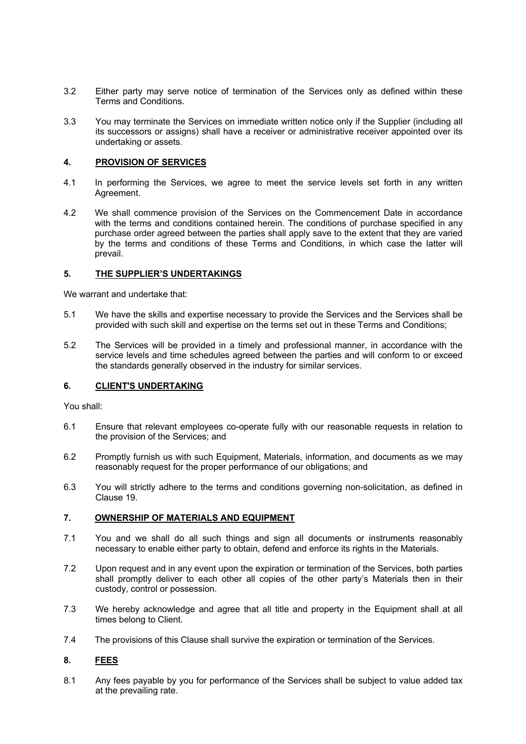- 3.2 Either party may serve notice of termination of the Services only as defined within these Terms and Conditions.
- 3.3 You may terminate the Services on immediate written notice only if the Supplier (including all its successors or assigns) shall have a receiver or administrative receiver appointed over its undertaking or assets.

# **4. PROVISION OF SERVICES**

- 4.1 In performing the Services, we agree to meet the service levels set forth in any written Agreement.
- 4.2 We shall commence provision of the Services on the Commencement Date in accordance with the terms and conditions contained herein. The conditions of purchase specified in any purchase order agreed between the parties shall apply save to the extent that they are varied by the terms and conditions of these Terms and Conditions, in which case the latter will prevail.

### **5. THE SUPPLIER'S UNDERTAKINGS**

We warrant and undertake that:

- 5.1 We have the skills and expertise necessary to provide the Services and the Services shall be provided with such skill and expertise on the terms set out in these Terms and Conditions;
- 5.2 The Services will be provided in a timely and professional manner, in accordance with the service levels and time schedules agreed between the parties and will conform to or exceed the standards generally observed in the industry for similar services.

#### **6. CLIENT'S UNDERTAKING**

You shall:

- 6.1 Ensure that relevant employees co-operate fully with our reasonable requests in relation to the provision of the Services; and
- 6.2 Promptly furnish us with such Equipment, Materials, information, and documents as we may reasonably request for the proper performance of our obligations; and
- 6.3 You will strictly adhere to the terms and conditions governing non-solicitation, as defined in Clause 19.

#### **7. OWNERSHIP OF MATERIALS AND EQUIPMENT**

- 7.1 You and we shall do all such things and sign all documents or instruments reasonably necessary to enable either party to obtain, defend and enforce its rights in the Materials.
- 7.2 Upon request and in any event upon the expiration or termination of the Services, both parties shall promptly deliver to each other all copies of the other party's Materials then in their custody, control or possession.
- 7.3 We hereby acknowledge and agree that all title and property in the Equipment shall at all times belong to Client.
- 7.4 The provisions of this Clause shall survive the expiration or termination of the Services.

# **8. FEES**

8.1 Any fees payable by you for performance of the Services shall be subject to value added tax at the prevailing rate.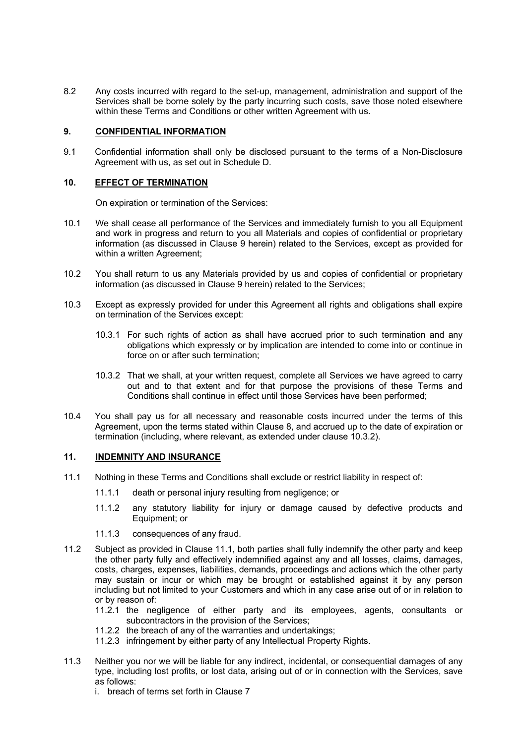8.2 Any costs incurred with regard to the set-up, management, administration and support of the Services shall be borne solely by the party incurring such costs, save those noted elsewhere within these Terms and Conditions or other written Agreement with us.

## **9. CONFIDENTIAL INFORMATION**

9.1 Confidential information shall only be disclosed pursuant to the terms of a Non-Disclosure Agreement with us, as set out in Schedule D.

### **10. EFFECT OF TERMINATION**

On expiration or termination of the Services:

- 10.1 We shall cease all performance of the Services and immediately furnish to you all Equipment and work in progress and return to you all Materials and copies of confidential or proprietary information (as discussed in Clause 9 herein) related to the Services, except as provided for within a written Agreement;
- 10.2 You shall return to us any Materials provided by us and copies of confidential or proprietary information (as discussed in Clause 9 herein) related to the Services;
- 10.3 Except as expressly provided for under this Agreement all rights and obligations shall expire on termination of the Services except:
	- 10.3.1 For such rights of action as shall have accrued prior to such termination and any obligations which expressly or by implication are intended to come into or continue in force on or after such termination;
	- 10.3.2 That we shall, at your written request, complete all Services we have agreed to carry out and to that extent and for that purpose the provisions of these Terms and Conditions shall continue in effect until those Services have been performed;
- 10.4 You shall pay us for all necessary and reasonable costs incurred under the terms of this Agreement, upon the terms stated within Clause 8, and accrued up to the date of expiration or termination (including, where relevant, as extended under clause 10.3.2).

#### **11. INDEMNITY AND INSURANCE**

- 11.1 Nothing in these Terms and Conditions shall exclude or restrict liability in respect of:
	- 11.1.1 death or personal injury resulting from negligence; or
	- 11.1.2 any statutory liability for injury or damage caused by defective products and Equipment; or
	- 11.1.3 consequences of any fraud.
- 11.2 Subject as provided in Clause 11.1, both parties shall fully indemnify the other party and keep the other party fully and effectively indemnified against any and all losses, claims, damages, costs, charges, expenses, liabilities, demands, proceedings and actions which the other party may sustain or incur or which may be brought or established against it by any person including but not limited to your Customers and which in any case arise out of or in relation to or by reason of:
	- 11.2.1 the negligence of either party and its employees, agents, consultants or subcontractors in the provision of the Services;
	- 11.2.2 the breach of any of the warranties and undertakings;
	- 11.2.3 infringement by either party of any Intellectual Property Rights.
- 11.3 Neither you nor we will be liable for any indirect, incidental, or consequential damages of any type, including lost profits, or lost data, arising out of or in connection with the Services, save as follows:
	- i. breach of terms set forth in Clause 7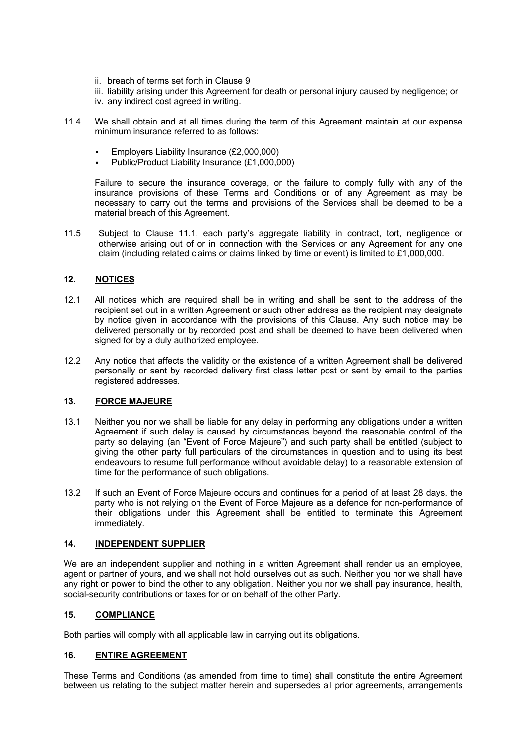- ii. breach of terms set forth in Clause 9
- iii. liability arising under this Agreement for death or personal injury caused by negligence; or
- iv. any indirect cost agreed in writing.
- 11.4 We shall obtain and at all times during the term of this Agreement maintain at our expense minimum insurance referred to as follows:
	- § Employers Liability Insurance (£2,000,000)
	- § Public/Product Liability Insurance (£1,000,000)

Failure to secure the insurance coverage, or the failure to comply fully with any of the insurance provisions of these Terms and Conditions or of any Agreement as may be necessary to carry out the terms and provisions of the Services shall be deemed to be a material breach of this Agreement.

11.5 Subject to Clause 11.1, each party's aggregate liability in contract, tort, negligence or otherwise arising out of or in connection with the Services or any Agreement for any one claim (including related claims or claims linked by time or event) is limited to £1,000,000.

# **12. NOTICES**

- 12.1 All notices which are required shall be in writing and shall be sent to the address of the recipient set out in a written Agreement or such other address as the recipient may designate by notice given in accordance with the provisions of this Clause. Any such notice may be delivered personally or by recorded post and shall be deemed to have been delivered when signed for by a duly authorized employee.
- 12.2 Any notice that affects the validity or the existence of a written Agreement shall be delivered personally or sent by recorded delivery first class letter post or sent by email to the parties registered addresses.

# **13. FORCE MAJEURE**

- 13.1 Neither you nor we shall be liable for any delay in performing any obligations under a written Agreement if such delay is caused by circumstances beyond the reasonable control of the party so delaying (an "Event of Force Majeure") and such party shall be entitled (subject to giving the other party full particulars of the circumstances in question and to using its best endeavours to resume full performance without avoidable delay) to a reasonable extension of time for the performance of such obligations.
- 13.2 If such an Event of Force Majeure occurs and continues for a period of at least 28 days, the party who is not relying on the Event of Force Majeure as a defence for non-performance of their obligations under this Agreement shall be entitled to terminate this Agreement immediately.

# **14. INDEPENDENT SUPPLIER**

We are an independent supplier and nothing in a written Agreement shall render us an employee, agent or partner of yours, and we shall not hold ourselves out as such. Neither you nor we shall have any right or power to bind the other to any obligation. Neither you nor we shall pay insurance, health, social-security contributions or taxes for or on behalf of the other Party.

# **15. COMPLIANCE**

Both parties will comply with all applicable law in carrying out its obligations.

# **16. ENTIRE AGREEMENT**

These Terms and Conditions (as amended from time to time) shall constitute the entire Agreement between us relating to the subject matter herein and supersedes all prior agreements, arrangements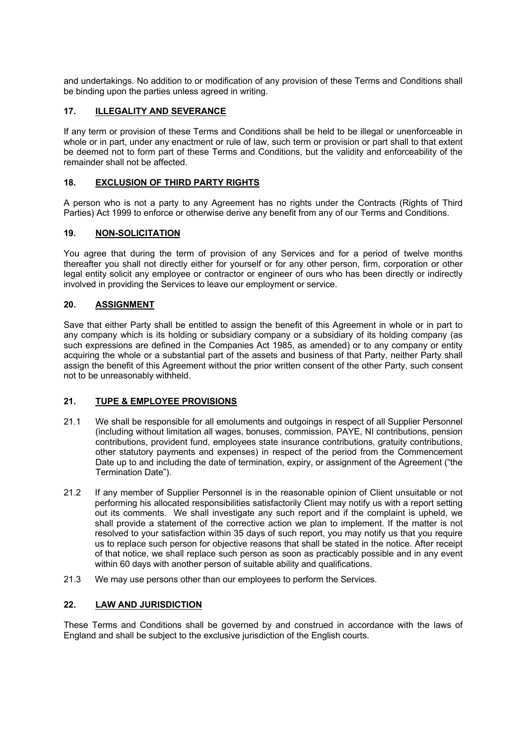and undertakings. No addition to or modification of any provision of these Terms and Conditions shall be binding upon the parties unless agreed in writing.

# **17. ILLEGALITY AND SEVERANCE**

If any term or provision of these Terms and Conditions shall be held to be illegal or unenforceable in whole or in part, under any enactment or rule of law, such term or provision or part shall to that extent be deemed not to form part of these Terms and Conditions, but the validity and enforceability of the remainder shall not be affected.

# **18. EXCLUSION OF THIRD PARTY RIGHTS**

A person who is not a party to any Agreement has no rights under the Contracts (Rights of Third Parties) Act 1999 to enforce or otherwise derive any benefit from any of our Terms and Conditions.

# **19. NON-SOLICITATION**

You agree that during the term of provision of any Services and for a period of twelve months thereafter you shall not directly either for yourself or for any other person, firm, corporation or other legal entity solicit any employee or contractor or engineer of ours who has been directly or indirectly involved in providing the Services to leave our employment or service.

# **20. ASSIGNMENT**

Save that either Party shall be entitled to assign the benefit of this Agreement in whole or in part to any company which is its holding or subsidiary company or a subsidiary of its holding company (as such expressions are defined in the Companies Act 1985, as amended) or to any company or entity acquiring the whole or a substantial part of the assets and business of that Party, neither Party shall assign the benefit of this Agreement without the prior written consent of the other Party, such consent not to be unreasonably withheld.

# **21. TUPE & EMPLOYEE PROVISIONS**

- 21.1 We shall be responsible for all emoluments and outgoings in respect of all Supplier Personnel (including without limitation all wages, bonuses, commission, PAYE, NI contributions, pension contributions, provident fund, employees state insurance contributions, gratuity contributions, other statutory payments and expenses) in respect of the period from the Commencement Date up to and including the date of termination, expiry, or assignment of the Agreement ("the Termination Date").
- 21.2 If any member of Supplier Personnel is in the reasonable opinion of Client unsuitable or not performing his allocated responsibilities satisfactorily Client may notify us with a report setting out its comments. We shall investigate any such report and if the complaint is upheld, we shall provide a statement of the corrective action we plan to implement. If the matter is not resolved to your satisfaction within 35 days of such report, you may notify us that you require us to replace such person for objective reasons that shall be stated in the notice. After receipt of that notice, we shall replace such person as soon as practicably possible and in any event within 60 days with another person of suitable ability and qualifications.
- 21.3 We may use persons other than our employees to perform the Services.

# **22. LAW AND JURISDICTION**

These Terms and Conditions shall be governed by and construed in accordance with the laws of England and shall be subject to the exclusive jurisdiction of the English courts.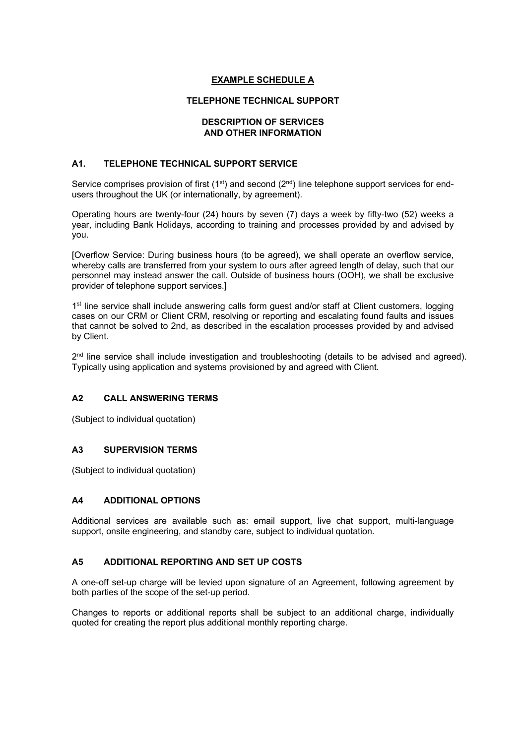# **EXAMPLE SCHEDULE A**

# **TELEPHONE TECHNICAL SUPPORT**

#### **DESCRIPTION OF SERVICES AND OTHER INFORMATION**

# **A1. TELEPHONE TECHNICAL SUPPORT SERVICE**

Service comprises provision of first ( $1<sup>st</sup>$ ) and second ( $2<sup>nd</sup>$ ) line telephone support services for endusers throughout the UK (or internationally, by agreement).

Operating hours are twenty-four (24) hours by seven (7) days a week by fifty-two (52) weeks a year, including Bank Holidays, according to training and processes provided by and advised by you.

[Overflow Service: During business hours (to be agreed), we shall operate an overflow service, whereby calls are transferred from your system to ours after agreed length of delay, such that our personnel may instead answer the call. Outside of business hours (OOH), we shall be exclusive provider of telephone support services.]

1<sup>st</sup> line service shall include answering calls form guest and/or staff at Client customers, logging cases on our CRM or Client CRM, resolving or reporting and escalating found faults and issues that cannot be solved to 2nd, as described in the escalation processes provided by and advised by Client.

2<sup>nd</sup> line service shall include investigation and troubleshooting (details to be advised and agreed). Typically using application and systems provisioned by and agreed with Client.

# **A2 CALL ANSWERING TERMS**

(Subject to individual quotation)

# **A3 SUPERVISION TERMS**

(Subject to individual quotation)

# **A4 ADDITIONAL OPTIONS**

Additional services are available such as: email support, live chat support, multi-language support, onsite engineering, and standby care, subject to individual quotation.

# **A5 ADDITIONAL REPORTING AND SET UP COSTS**

A one-off set-up charge will be levied upon signature of an Agreement, following agreement by both parties of the scope of the set-up period.

Changes to reports or additional reports shall be subject to an additional charge, individually quoted for creating the report plus additional monthly reporting charge.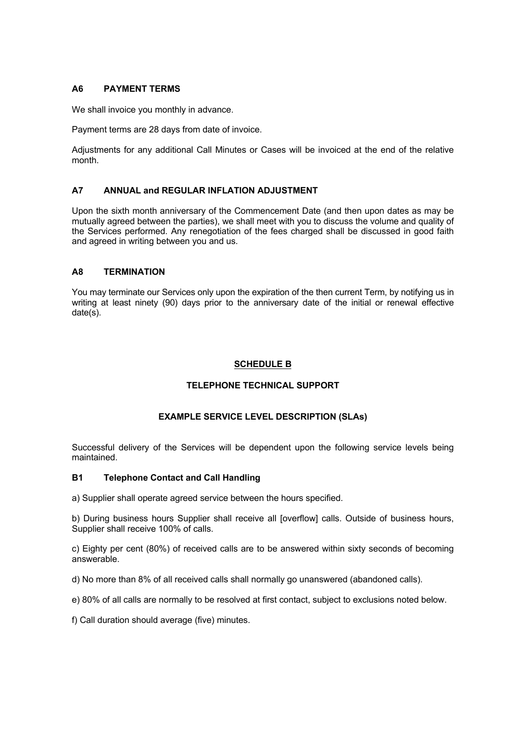### **A6 PAYMENT TERMS**

We shall invoice you monthly in advance.

Payment terms are 28 days from date of invoice.

Adjustments for any additional Call Minutes or Cases will be invoiced at the end of the relative month.

## **A7 ANNUAL and REGULAR INFLATION ADJUSTMENT**

Upon the sixth month anniversary of the Commencement Date (and then upon dates as may be mutually agreed between the parties), we shall meet with you to discuss the volume and quality of the Services performed. Any renegotiation of the fees charged shall be discussed in good faith and agreed in writing between you and us.

### **A8 TERMINATION**

You may terminate our Services only upon the expiration of the then current Term, by notifying us in writing at least ninety (90) days prior to the anniversary date of the initial or renewal effective date(s).

# **SCHEDULE B**

# **TELEPHONE TECHNICAL SUPPORT**

# **EXAMPLE SERVICE LEVEL DESCRIPTION (SLAs)**

Successful delivery of the Services will be dependent upon the following service levels being maintained.

#### **B1 Telephone Contact and Call Handling**

a) Supplier shall operate agreed service between the hours specified.

b) During business hours Supplier shall receive all [overflow] calls. Outside of business hours, Supplier shall receive 100% of calls.

c) Eighty per cent (80%) of received calls are to be answered within sixty seconds of becoming answerable.

d) No more than 8% of all received calls shall normally go unanswered (abandoned calls).

e) 80% of all calls are normally to be resolved at first contact, subject to exclusions noted below.

f) Call duration should average (five) minutes.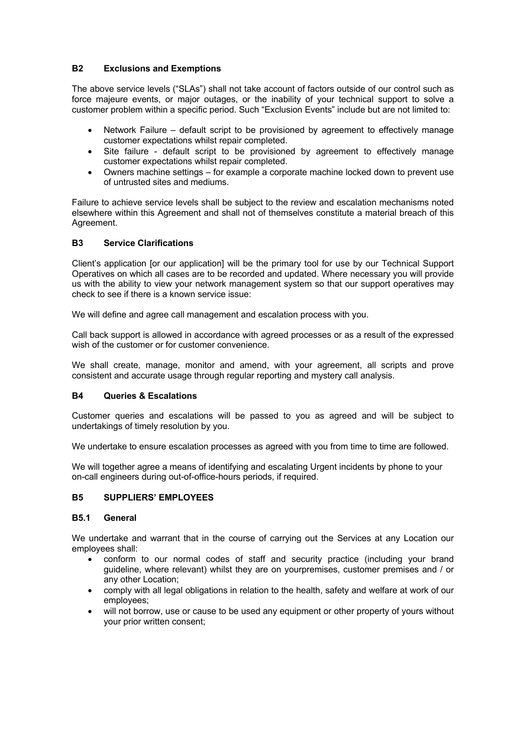# **B2 Exclusions and Exemptions**

The above service levels ("SLAs") shall not take account of factors outside of our control such as force majeure events, or major outages, or the inability of your technical support to solve a customer problem within a specific period. Such "Exclusion Events" include but are not limited to:

- Network Failure default script to be provisioned by agreement to effectively manage customer expectations whilst repair completed.
- Site failure default script to be provisioned by agreement to effectively manage customer expectations whilst repair completed.
- Owners machine settings for example a corporate machine locked down to prevent use of untrusted sites and mediums.

Failure to achieve service levels shall be subject to the review and escalation mechanisms noted elsewhere within this Agreement and shall not of themselves constitute a material breach of this Agreement.

# **B3 Service Clarifications**

Client's application [or our application] will be the primary tool for use by our Technical Support Operatives on which all cases are to be recorded and updated. Where necessary you will provide us with the ability to view your network management system so that our support operatives may check to see if there is a known service issue:

We will define and agree call management and escalation process with you.

Call back support is allowed in accordance with agreed processes or as a result of the expressed wish of the customer or for customer convenience.

We shall create, manage, monitor and amend, with your agreement, all scripts and prove consistent and accurate usage through regular reporting and mystery call analysis.

# **B4 Queries & Escalations**

Customer queries and escalations will be passed to you as agreed and will be subject to undertakings of timely resolution by you.

We undertake to ensure escalation processes as agreed with you from time to time are followed.

We will together agree a means of identifying and escalating Urgent incidents by phone to your on-call engineers during out-of-office-hours periods, if required.

# **B5 SUPPLIERS' EMPLOYEES**

#### **B5.1 General**

We undertake and warrant that in the course of carrying out the Services at any Location our employees shall:

- conform to our normal codes of staff and security practice (including your brand guideline, where relevant) whilst they are on yourpremises, customer premises and / or any other Location;
- comply with all legal obligations in relation to the health, safety and welfare at work of our employees;
- will not borrow, use or cause to be used any equipment or other property of yours without your prior written consent;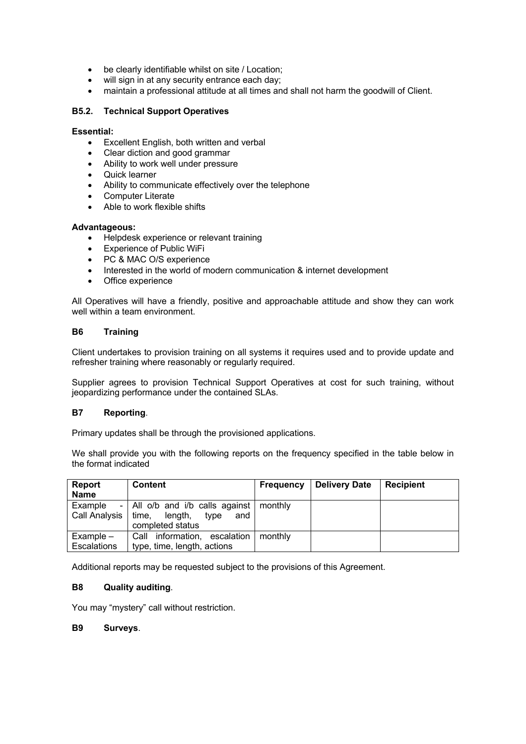- be clearly identifiable whilst on site / Location;
- will sign in at any security entrance each day;
- maintain a professional attitude at all times and shall not harm the goodwill of Client.

### **B5.2. Technical Support Operatives**

#### **Essential:**

- Excellent English, both written and verbal
- Clear diction and good grammar
- Ability to work well under pressure
- Quick learner
- Ability to communicate effectively over the telephone
- Computer Literate
- Able to work flexible shifts

#### **Advantageous:**

- Helpdesk experience or relevant training
- Experience of Public WiFi
- PC & MAC O/S experience
- Interested in the world of modern communication & internet development
- Office experience

All Operatives will have a friendly, positive and approachable attitude and show they can work well within a team environment.

# **B6 Training**

Client undertakes to provision training on all systems it requires used and to provide update and refresher training where reasonably or regularly required.

Supplier agrees to provision Technical Support Operatives at cost for such training, without jeopardizing performance under the contained SLAs.

#### **B7 Reporting**.

Primary updates shall be through the provisioned applications.

We shall provide you with the following reports on the frequency specified in the table below in the format indicated

| <b>Report</b><br><b>Name</b>     | <b>Content</b>                                                                | <b>Frequency</b> | <b>Delivery Date</b> | <b>Recipient</b> |
|----------------------------------|-------------------------------------------------------------------------------|------------------|----------------------|------------------|
| Example<br>Call Analysis   time, | - All o/b and i/b calls against<br>length,<br>type<br>and<br>completed status | monthly          |                      |                  |
| $Example -$                      | Call information, escalation                                                  | monthly          |                      |                  |
| Escalations                      | type, time, length, actions                                                   |                  |                      |                  |

Additional reports may be requested subject to the provisions of this Agreement.

#### **B8 Quality auditing**.

You may "mystery" call without restriction.

#### **B9 Surveys**.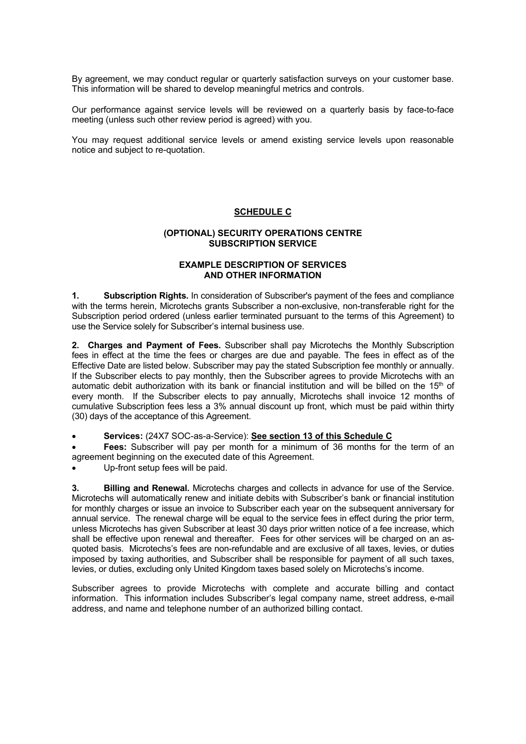By agreement, we may conduct regular or quarterly satisfaction surveys on your customer base. This information will be shared to develop meaningful metrics and controls.

Our performance against service levels will be reviewed on a quarterly basis by face-to-face meeting (unless such other review period is agreed) with you.

You may request additional service levels or amend existing service levels upon reasonable notice and subject to re-quotation.

### **SCHEDULE C**

#### **(OPTIONAL) SECURITY OPERATIONS CENTRE SUBSCRIPTION SERVICE**

### **EXAMPLE DESCRIPTION OF SERVICES AND OTHER INFORMATION**

**1. Subscription Rights.** In consideration of Subscriber's payment of the fees and compliance with the terms herein, Microtechs grants Subscriber a non-exclusive, non-transferable right for the Subscription period ordered (unless earlier terminated pursuant to the terms of this Agreement) to use the Service solely for Subscriber's internal business use.

**2. Charges and Payment of Fees.** Subscriber shall pay Microtechs the Monthly Subscription fees in effect at the time the fees or charges are due and payable. The fees in effect as of the Effective Date are listed below. Subscriber may pay the stated Subscription fee monthly or annually. If the Subscriber elects to pay monthly, then the Subscriber agrees to provide Microtechs with an automatic debit authorization with its bank or financial institution and will be billed on the 15<sup>th</sup> of every month. If the Subscriber elects to pay annually, Microtechs shall invoice 12 months of cumulative Subscription fees less a 3% annual discount up front, which must be paid within thirty (30) days of the acceptance of this Agreement.

• **Services:** (24X7 SOC-as-a-Service): **See section 13 of this Schedule C**

• **Fees:** Subscriber will pay per month for a minimum of 36 months for the term of an agreement beginning on the executed date of this Agreement.

Up-front setup fees will be paid.

**3. Billing and Renewal.** Microtechs charges and collects in advance for use of the Service. Microtechs will automatically renew and initiate debits with Subscriber's bank or financial institution for monthly charges or issue an invoice to Subscriber each year on the subsequent anniversary for annual service. The renewal charge will be equal to the service fees in effect during the prior term, unless Microtechs has given Subscriber at least 30 days prior written notice of a fee increase, which shall be effective upon renewal and thereafter. Fees for other services will be charged on an asquoted basis. Microtechs's fees are non-refundable and are exclusive of all taxes, levies, or duties imposed by taxing authorities, and Subscriber shall be responsible for payment of all such taxes, levies, or duties, excluding only United Kingdom taxes based solely on Microtechs's income.

Subscriber agrees to provide Microtechs with complete and accurate billing and contact information. This information includes Subscriber's legal company name, street address, e-mail address, and name and telephone number of an authorized billing contact.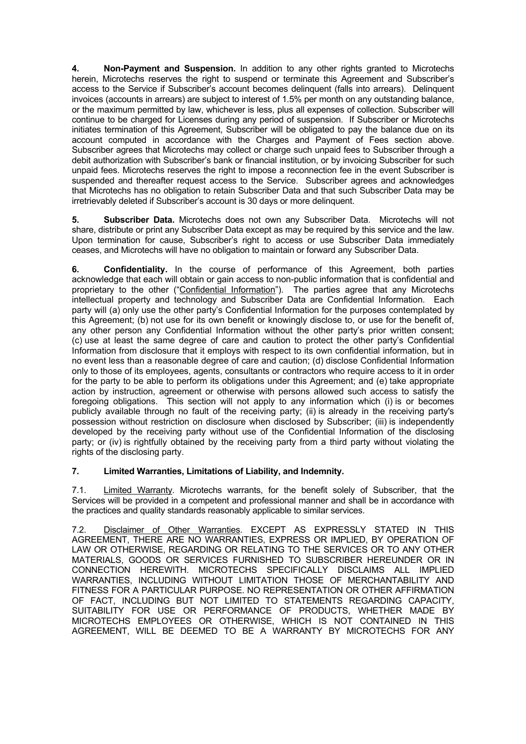**4. Non-Payment and Suspension.** In addition to any other rights granted to Microtechs herein, Microtechs reserves the right to suspend or terminate this Agreement and Subscriber's access to the Service if Subscriber's account becomes delinquent (falls into arrears). Delinquent invoices (accounts in arrears) are subject to interest of 1.5% per month on any outstanding balance, or the maximum permitted by law, whichever is less, plus all expenses of collection. Subscriber will continue to be charged for Licenses during any period of suspension. If Subscriber or Microtechs initiates termination of this Agreement, Subscriber will be obligated to pay the balance due on its account computed in accordance with the Charges and Payment of Fees section above. Subscriber agrees that Microtechs may collect or charge such unpaid fees to Subscriber through a debit authorization with Subscriber's bank or financial institution, or by invoicing Subscriber for such unpaid fees. Microtechs reserves the right to impose a reconnection fee in the event Subscriber is suspended and thereafter request access to the Service. Subscriber agrees and acknowledges that Microtechs has no obligation to retain Subscriber Data and that such Subscriber Data may be irretrievably deleted if Subscriber's account is 30 days or more delinquent.

**5. Subscriber Data.** Microtechs does not own any Subscriber Data. Microtechs will not share, distribute or print any Subscriber Data except as may be required by this service and the law. Upon termination for cause, Subscriber's right to access or use Subscriber Data immediately ceases, and Microtechs will have no obligation to maintain or forward any Subscriber Data.

**6. Confidentiality.** In the course of performance of this Agreement, both parties acknowledge that each will obtain or gain access to non-public information that is confidential and proprietary to the other ("Confidential Information"). The parties agree that any Microtechs intellectual property and technology and Subscriber Data are Confidential Information. Each party will (a) only use the other party's Confidential Information for the purposes contemplated by this Agreement; (b) not use for its own benefit or knowingly disclose to, or use for the benefit of, any other person any Confidential Information without the other party's prior written consent; (c) use at least the same degree of care and caution to protect the other party's Confidential Information from disclosure that it employs with respect to its own confidential information, but in no event less than a reasonable degree of care and caution; (d) disclose Confidential Information only to those of its employees, agents, consultants or contractors who require access to it in order for the party to be able to perform its obligations under this Agreement; and (e) take appropriate action by instruction, agreement or otherwise with persons allowed such access to satisfy the foregoing obligations. This section will not apply to any information which (i) is or becomes publicly available through no fault of the receiving party; (ii) is already in the receiving party's possession without restriction on disclosure when disclosed by Subscriber; (iii) is independently developed by the receiving party without use of the Confidential Information of the disclosing party; or (iv) is rightfully obtained by the receiving party from a third party without violating the rights of the disclosing party.

# **7. Limited Warranties, Limitations of Liability, and Indemnity.**

7.1. Limited Warranty. Microtechs warrants, for the benefit solely of Subscriber, that the Services will be provided in a competent and professional manner and shall be in accordance with the practices and quality standards reasonably applicable to similar services.

7.2. Disclaimer of Other Warranties. EXCEPT AS EXPRESSLY STATED IN THIS AGREEMENT, THERE ARE NO WARRANTIES, EXPRESS OR IMPLIED, BY OPERATION OF LAW OR OTHERWISE, REGARDING OR RELATING TO THE SERVICES OR TO ANY OTHER MATERIALS, GOODS OR SERVICES FURNISHED TO SUBSCRIBER HEREUNDER OR IN CONNECTION HEREWITH. MICROTECHS SPECIFICALLY DISCLAIMS ALL IMPLIED WARRANTIES, INCLUDING WITHOUT LIMITATION THOSE OF MERCHANTABILITY AND FITNESS FOR A PARTICULAR PURPOSE. NO REPRESENTATION OR OTHER AFFIRMATION OF FACT, INCLUDING BUT NOT LIMITED TO STATEMENTS REGARDING CAPACITY, SUITABILITY FOR USE OR PERFORMANCE OF PRODUCTS, WHETHER MADE BY MICROTECHS EMPLOYEES OR OTHERWISE, WHICH IS NOT CONTAINED IN THIS AGREEMENT, WILL BE DEEMED TO BE A WARRANTY BY MICROTECHS FOR ANY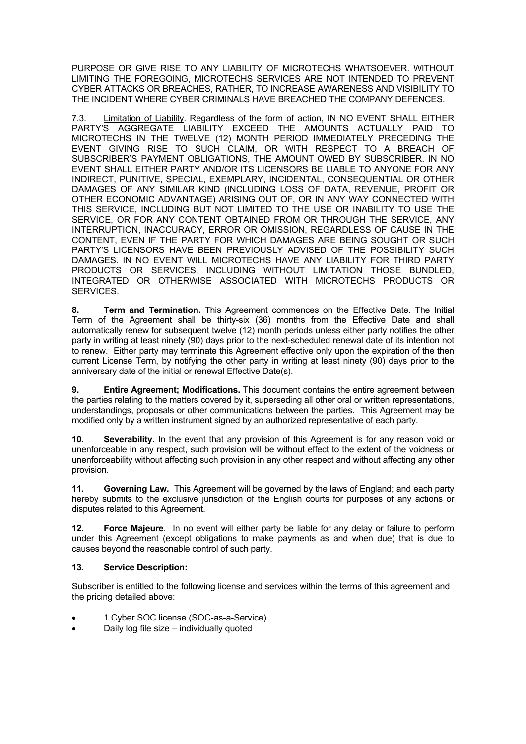PURPOSE OR GIVE RISE TO ANY LIABILITY OF MICROTECHS WHATSOEVER. WITHOUT LIMITING THE FOREGOING, MICROTECHS SERVICES ARE NOT INTENDED TO PREVENT CYBER ATTACKS OR BREACHES, RATHER, TO INCREASE AWARENESS AND VISIBILITY TO THE INCIDENT WHERE CYBER CRIMINALS HAVE BREACHED THE COMPANY DEFENCES.

7.3. Limitation of Liability. Regardless of the form of action, IN NO EVENT SHALL EITHER PARTY'S AGGREGATE LIABILITY EXCEED THE AMOUNTS ACTUALLY PAID TO MICROTECHS IN THE TWELVE (12) MONTH PERIOD IMMEDIATELY PRECEDING THE EVENT GIVING RISE TO SUCH CLAIM, OR WITH RESPECT TO A BREACH OF SUBSCRIBER'S PAYMENT OBLIGATIONS, THE AMOUNT OWED BY SUBSCRIBER. IN NO EVENT SHALL EITHER PARTY AND/OR ITS LICENSORS BE LIABLE TO ANYONE FOR ANY INDIRECT, PUNITIVE, SPECIAL, EXEMPLARY, INCIDENTAL, CONSEQUENTIAL OR OTHER DAMAGES OF ANY SIMILAR KIND (INCLUDING LOSS OF DATA, REVENUE, PROFIT OR OTHER ECONOMIC ADVANTAGE) ARISING OUT OF, OR IN ANY WAY CONNECTED WITH THIS SERVICE, INCLUDING BUT NOT LIMITED TO THE USE OR INABILITY TO USE THE SERVICE, OR FOR ANY CONTENT OBTAINED FROM OR THROUGH THE SERVICE, ANY INTERRUPTION, INACCURACY, ERROR OR OMISSION, REGARDLESS OF CAUSE IN THE CONTENT, EVEN IF THE PARTY FOR WHICH DAMAGES ARE BEING SOUGHT OR SUCH PARTY'S LICENSORS HAVE BEEN PREVIOUSLY ADVISED OF THE POSSIBILITY SUCH DAMAGES. IN NO EVENT WILL MICROTECHS HAVE ANY LIABILITY FOR THIRD PARTY PRODUCTS OR SERVICES, INCLUDING WITHOUT LIMITATION THOSE BUNDLED, INTEGRATED OR OTHERWISE ASSOCIATED WITH MICROTECHS PRODUCTS OR SERVICES.

**8. Term and Termination.** This Agreement commences on the Effective Date. The Initial Term of the Agreement shall be thirty-six (36) months from the Effective Date and shall automatically renew for subsequent twelve (12) month periods unless either party notifies the other party in writing at least ninety (90) days prior to the next-scheduled renewal date of its intention not to renew. Either party may terminate this Agreement effective only upon the expiration of the then current License Term, by notifying the other party in writing at least ninety (90) days prior to the anniversary date of the initial or renewal Effective Date(s).

**9. Entire Agreement; Modifications.** This document contains the entire agreement between the parties relating to the matters covered by it, superseding all other oral or written representations, understandings, proposals or other communications between the parties. This Agreement may be modified only by a written instrument signed by an authorized representative of each party.

**10. Severability.** In the event that any provision of this Agreement is for any reason void or unenforceable in any respect, such provision will be without effect to the extent of the voidness or unenforceability without affecting such provision in any other respect and without affecting any other provision.

**11. Governing Law.** This Agreement will be governed by the laws of England; and each party hereby submits to the exclusive jurisdiction of the English courts for purposes of any actions or disputes related to this Agreement.

**12. Force Majeure**. In no event will either party be liable for any delay or failure to perform under this Agreement (except obligations to make payments as and when due) that is due to causes beyond the reasonable control of such party.

# **13. Service Description:**

Subscriber is entitled to the following license and services within the terms of this agreement and the pricing detailed above:

- 1 Cyber SOC license (SOC-as-a-Service)
- Daily log file size individually quoted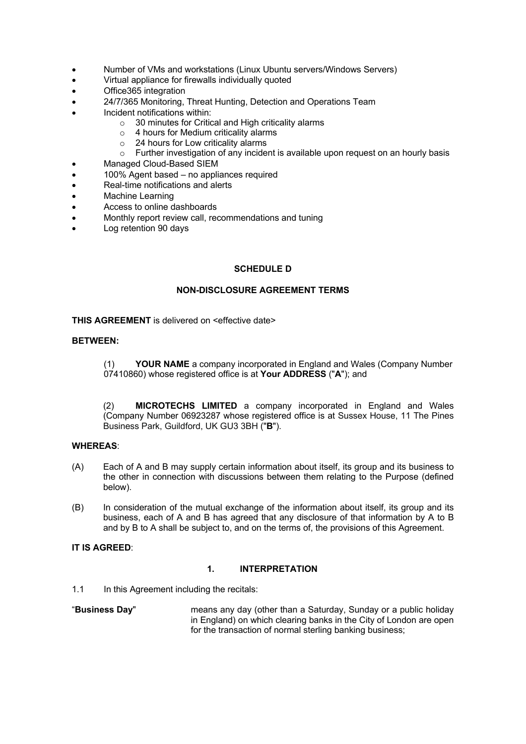- Number of VMs and workstations (Linux Ubuntu servers/Windows Servers)
- Virtual appliance for firewalls individually quoted
- Office365 integration
- 24/7/365 Monitoring, Threat Hunting, Detection and Operations Team
- Incident notifications within:
	- o 30 minutes for Critical and High criticality alarms
	- o 4 hours for Medium criticality alarms
	- o 24 hours for Low criticality alarms<br>
	o Further investigation of any incide
	- Further investigation of any incident is available upon request on an hourly basis
- Managed Cloud-Based SIEM
- 100% Agent based no appliances required
- Real-time notifications and alerts
- Machine Learning
- Access to online dashboards
- Monthly report review call, recommendations and tuning
- Log retention 90 days

# **SCHEDULE D**

### **NON-DISCLOSURE AGREEMENT TERMS**

**THIS AGREEMENT** is delivered on <effective date>

#### **BETWEEN:**

(1) **YOUR NAME** a company incorporated in England and Wales (Company Number 07410860) whose registered office is at **Your ADDRESS** ("**A**"); and

(2) **MICROTECHS LIMITED** a company incorporated in England and Wales (Company Number 06923287 whose registered office is at Sussex House, 11 The Pines Business Park, Guildford, UK GU3 3BH ("**B**").

#### **WHEREAS**:

- (A) Each of A and B may supply certain information about itself, its group and its business to the other in connection with discussions between them relating to the Purpose (defined below).
- (B) In consideration of the mutual exchange of the information about itself, its group and its business, each of A and B has agreed that any disclosure of that information by A to B and by B to A shall be subject to, and on the terms of, the provisions of this Agreement.

# **IT IS AGREED**:

# **1. INTERPRETATION**

1.1 In this Agreement including the recitals:

"**Business Day**" means any day (other than a Saturday, Sunday or a public holiday in England) on which clearing banks in the City of London are open for the transaction of normal sterling banking business;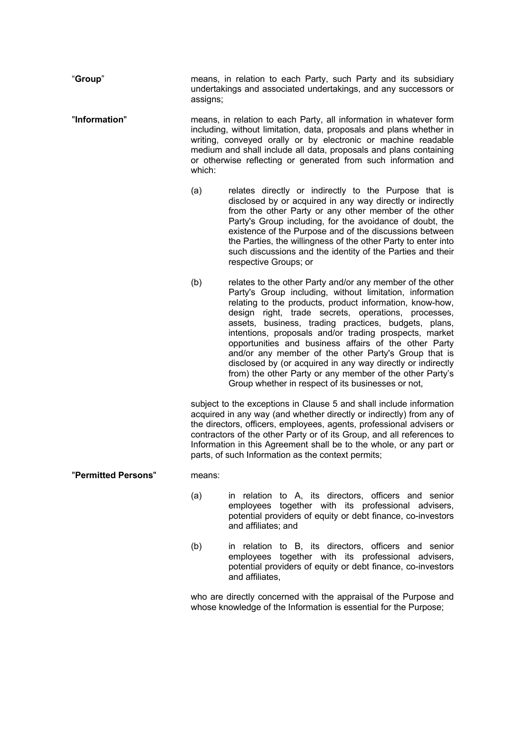"**Group**" means, in relation to each Party, such Party and its subsidiary undertakings and associated undertakings, and any successors or assigns; "**Information**" means, in relation to each Party, all information in whatever form including, without limitation, data, proposals and plans whether in writing, conveyed orally or by electronic or machine readable medium and shall include all data, proposals and plans containing or otherwise reflecting or generated from such information and which: (a) relates directly or indirectly to the Purpose that is disclosed by or acquired in any way directly or indirectly from the other Party or any other member of the other Party's Group including, for the avoidance of doubt, the existence of the Purpose and of the discussions between the Parties, the willingness of the other Party to enter into such discussions and the identity of the Parties and their respective Groups; or (b) relates to the other Party and/or any member of the other Party's Group including, without limitation, information relating to the products, product information, know-how, design right, trade secrets, operations, processes, assets, business, trading practices, budgets, plans, intentions, proposals and/or trading prospects, market opportunities and business affairs of the other Party and/or any member of the other Party's Group that is disclosed by (or acquired in any way directly or indirectly from) the other Party or any member of the other Party's Group whether in respect of its businesses or not, subject to the exceptions in Clause 5 and shall include information acquired in any way (and whether directly or indirectly) from any of the directors, officers, employees, agents, professional advisers or contractors of the other Party or of its Group, and all references to Information in this Agreement shall be to the whole, or any part or parts, of such Information as the context permits; "**Permitted Persons**" means: (a) in relation to A, its directors, officers and senior employees together with its professional advisers, potential providers of equity or debt finance, co-investors and affiliates; and (b) in relation to B, its directors, officers and senior employees together with its professional advisers, potential providers of equity or debt finance, co-investors and affiliates, who are directly concerned with the appraisal of the Purpose and whose knowledge of the Information is essential for the Purpose;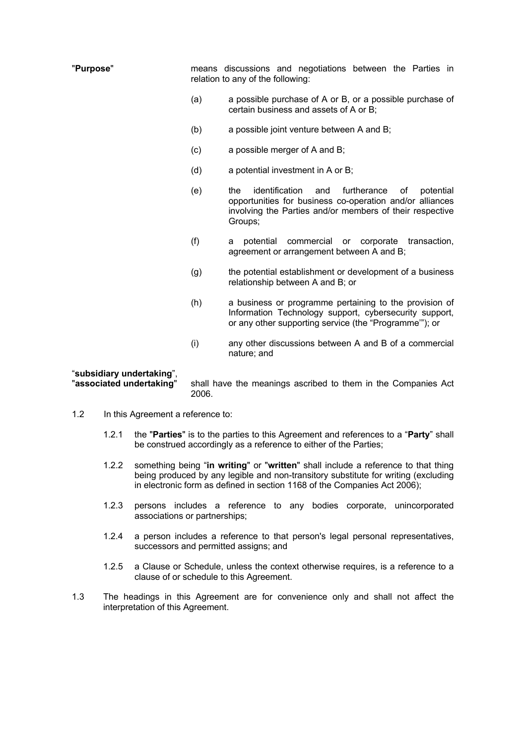| "Purpose"                                             |                                                                        | means discussions and negotiations between the Parties in<br>relation to any of the following:                                                                                                    |
|-------------------------------------------------------|------------------------------------------------------------------------|---------------------------------------------------------------------------------------------------------------------------------------------------------------------------------------------------|
|                                                       | (a)                                                                    | a possible purchase of A or B, or a possible purchase of<br>certain business and assets of A or B;                                                                                                |
|                                                       | (b)                                                                    | a possible joint venture between A and B;                                                                                                                                                         |
|                                                       | (c)                                                                    | a possible merger of A and B;                                                                                                                                                                     |
|                                                       | (d)                                                                    | a potential investment in A or B;                                                                                                                                                                 |
|                                                       | (e)                                                                    | identification<br>furtherance<br>the<br>potential<br>and<br>οf<br>opportunities for business co-operation and/or alliances<br>involving the Parties and/or members of their respective<br>Groups; |
|                                                       | (f)                                                                    | commercial<br>potential<br>corporate<br>transaction,<br>or<br>a<br>agreement or arrangement between A and B;                                                                                      |
|                                                       | (g)                                                                    | the potential establishment or development of a business<br>relationship between A and B; or                                                                                                      |
|                                                       | (h)                                                                    | a business or programme pertaining to the provision of<br>Information Technology support, cybersecurity support,<br>or any other supporting service (the "Programme"); or                         |
|                                                       | (i)                                                                    | any other discussions between A and B of a commercial<br>nature; and                                                                                                                              |
| "subsidiary undertaking",<br>"associated undertaking" | shall have the meanings ascribed to them in the Companies Act<br>2006. |                                                                                                                                                                                                   |

- 1.2 In this Agreement a reference to:
	- 1.2.1 the "**Parties**" is to the parties to this Agreement and references to a "**Party**" shall be construed accordingly as a reference to either of the Parties;
	- 1.2.2 something being "**in writing**" or "**written**" shall include a reference to that thing being produced by any legible and non-transitory substitute for writing (excluding in electronic form as defined in section 1168 of the Companies Act 2006);
	- 1.2.3 persons includes a reference to any bodies corporate, unincorporated associations or partnerships;
	- 1.2.4 a person includes a reference to that person's legal personal representatives, successors and permitted assigns; and
	- 1.2.5 a Clause or Schedule, unless the context otherwise requires, is a reference to a clause of or schedule to this Agreement.
- 1.3 The headings in this Agreement are for convenience only and shall not affect the interpretation of this Agreement.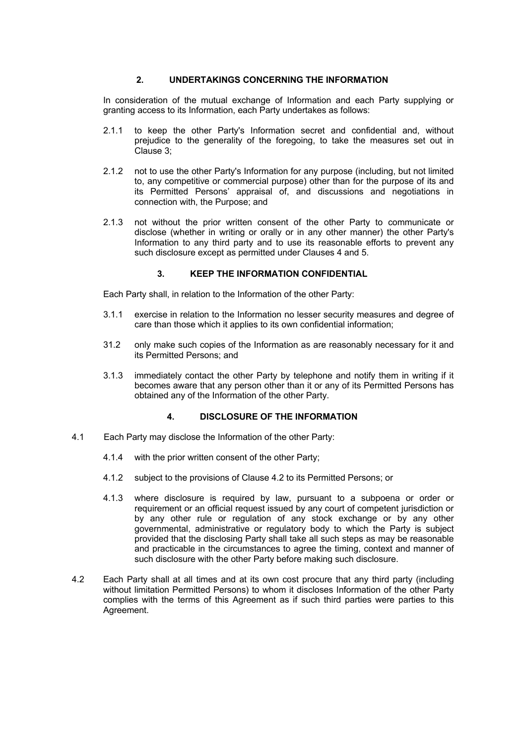# **2. UNDERTAKINGS CONCERNING THE INFORMATION**

In consideration of the mutual exchange of Information and each Party supplying or granting access to its Information, each Party undertakes as follows:

- 2.1.1 to keep the other Party's Information secret and confidential and, without prejudice to the generality of the foregoing, to take the measures set out in Clause 3;
- 2.1.2 not to use the other Party's Information for any purpose (including, but not limited to, any competitive or commercial purpose) other than for the purpose of its and its Permitted Persons' appraisal of, and discussions and negotiations in connection with, the Purpose; and
- 2.1.3 not without the prior written consent of the other Party to communicate or disclose (whether in writing or orally or in any other manner) the other Party's Information to any third party and to use its reasonable efforts to prevent any such disclosure except as permitted under Clauses 4 and 5.

### **3. KEEP THE INFORMATION CONFIDENTIAL**

Each Party shall, in relation to the Information of the other Party:

- 3.1.1 exercise in relation to the Information no lesser security measures and degree of care than those which it applies to its own confidential information;
- 31.2 only make such copies of the Information as are reasonably necessary for it and its Permitted Persons; and
- 3.1.3 immediately contact the other Party by telephone and notify them in writing if it becomes aware that any person other than it or any of its Permitted Persons has obtained any of the Information of the other Party.

#### **4. DISCLOSURE OF THE INFORMATION**

- 4.1 Each Party may disclose the Information of the other Party:
	- 4.1.4 with the prior written consent of the other Party;
	- 4.1.2 subject to the provisions of Clause 4.2 to its Permitted Persons; or
	- 4.1.3 where disclosure is required by law, pursuant to a subpoena or order or requirement or an official request issued by any court of competent jurisdiction or by any other rule or regulation of any stock exchange or by any other governmental, administrative or regulatory body to which the Party is subject provided that the disclosing Party shall take all such steps as may be reasonable and practicable in the circumstances to agree the timing, context and manner of such disclosure with the other Party before making such disclosure.
- 4.2 Each Party shall at all times and at its own cost procure that any third party (including without limitation Permitted Persons) to whom it discloses Information of the other Party complies with the terms of this Agreement as if such third parties were parties to this Agreement.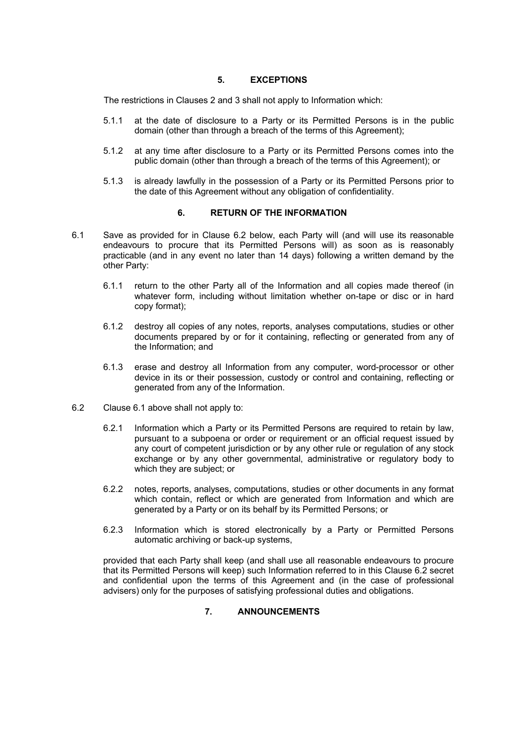#### **5. EXCEPTIONS**

The restrictions in Clauses 2 and 3 shall not apply to Information which:

- 5.1.1 at the date of disclosure to a Party or its Permitted Persons is in the public domain (other than through a breach of the terms of this Agreement);
- 5.1.2 at any time after disclosure to a Party or its Permitted Persons comes into the public domain (other than through a breach of the terms of this Agreement); or
- 5.1.3 is already lawfully in the possession of a Party or its Permitted Persons prior to the date of this Agreement without any obligation of confidentiality.

# **6. RETURN OF THE INFORMATION**

- 6.1 Save as provided for in Clause 6.2 below, each Party will (and will use its reasonable endeavours to procure that its Permitted Persons will) as soon as is reasonably practicable (and in any event no later than 14 days) following a written demand by the other Party:
	- 6.1.1 return to the other Party all of the Information and all copies made thereof (in whatever form, including without limitation whether on-tape or disc or in hard copy format);
	- 6.1.2 destroy all copies of any notes, reports, analyses computations, studies or other documents prepared by or for it containing, reflecting or generated from any of the Information; and
	- 6.1.3 erase and destroy all Information from any computer, word-processor or other device in its or their possession, custody or control and containing, reflecting or generated from any of the Information.
- 6.2 Clause 6.1 above shall not apply to:
	- 6.2.1 Information which a Party or its Permitted Persons are required to retain by law, pursuant to a subpoena or order or requirement or an official request issued by any court of competent jurisdiction or by any other rule or regulation of any stock exchange or by any other governmental, administrative or regulatory body to which they are subject; or
	- 6.2.2 notes, reports, analyses, computations, studies or other documents in any format which contain, reflect or which are generated from Information and which are generated by a Party or on its behalf by its Permitted Persons; or
	- 6.2.3 Information which is stored electronically by a Party or Permitted Persons automatic archiving or back-up systems,

provided that each Party shall keep (and shall use all reasonable endeavours to procure that its Permitted Persons will keep) such Information referred to in this Clause 6.2 secret and confidential upon the terms of this Agreement and (in the case of professional advisers) only for the purposes of satisfying professional duties and obligations.

# **7. ANNOUNCEMENTS**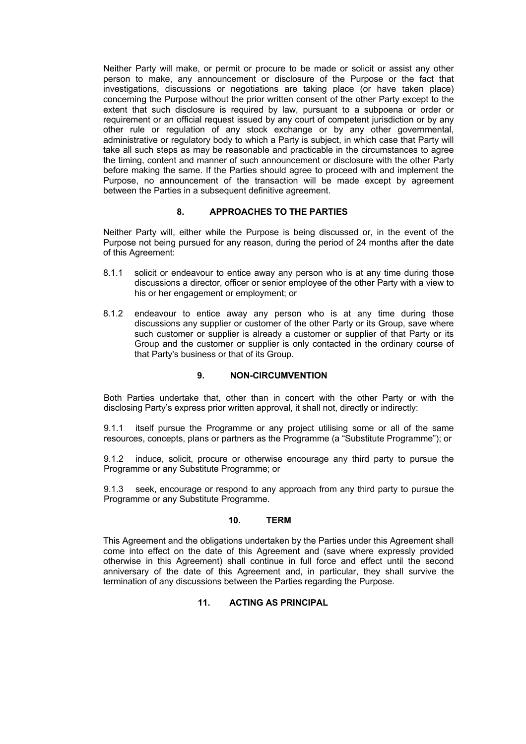Neither Party will make, or permit or procure to be made or solicit or assist any other person to make, any announcement or disclosure of the Purpose or the fact that investigations, discussions or negotiations are taking place (or have taken place) concerning the Purpose without the prior written consent of the other Party except to the extent that such disclosure is required by law, pursuant to a subpoena or order or requirement or an official request issued by any court of competent jurisdiction or by any other rule or regulation of any stock exchange or by any other governmental, administrative or regulatory body to which a Party is subject, in which case that Party will take all such steps as may be reasonable and practicable in the circumstances to agree the timing, content and manner of such announcement or disclosure with the other Party before making the same. If the Parties should agree to proceed with and implement the Purpose, no announcement of the transaction will be made except by agreement between the Parties in a subsequent definitive agreement.

# **8. APPROACHES TO THE PARTIES**

Neither Party will, either while the Purpose is being discussed or, in the event of the Purpose not being pursued for any reason, during the period of 24 months after the date of this Agreement:

- 8.1.1 solicit or endeavour to entice away any person who is at any time during those discussions a director, officer or senior employee of the other Party with a view to his or her engagement or employment; or
- 8.1.2 endeavour to entice away any person who is at any time during those discussions any supplier or customer of the other Party or its Group, save where such customer or supplier is already a customer or supplier of that Party or its Group and the customer or supplier is only contacted in the ordinary course of that Party's business or that of its Group.

# **9. NON-CIRCUMVENTION**

Both Parties undertake that, other than in concert with the other Party or with the disclosing Party's express prior written approval, it shall not, directly or indirectly:

9.1.1 itself pursue the Programme or any project utilising some or all of the same resources, concepts, plans or partners as the Programme (a "Substitute Programme"); or

9.1.2 induce, solicit, procure or otherwise encourage any third party to pursue the Programme or any Substitute Programme; or

9.1.3 seek, encourage or respond to any approach from any third party to pursue the Programme or any Substitute Programme.

# **10. TERM**

This Agreement and the obligations undertaken by the Parties under this Agreement shall come into effect on the date of this Agreement and (save where expressly provided otherwise in this Agreement) shall continue in full force and effect until the second anniversary of the date of this Agreement and, in particular, they shall survive the termination of any discussions between the Parties regarding the Purpose.

# **11. ACTING AS PRINCIPAL**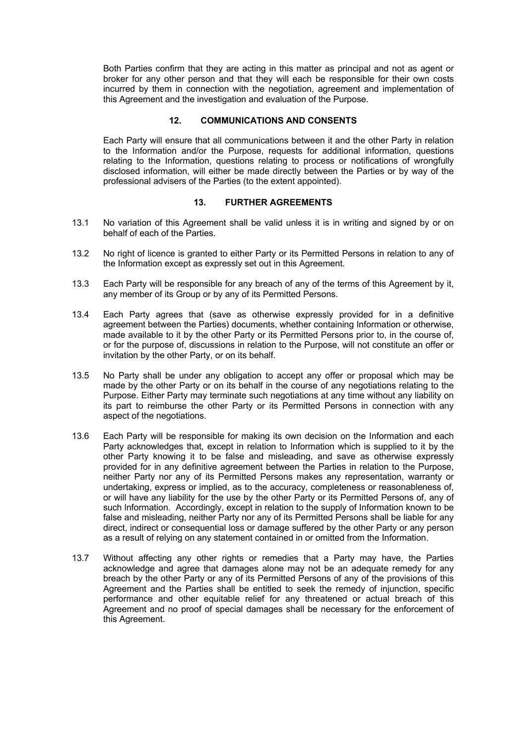Both Parties confirm that they are acting in this matter as principal and not as agent or broker for any other person and that they will each be responsible for their own costs incurred by them in connection with the negotiation, agreement and implementation of this Agreement and the investigation and evaluation of the Purpose.

# **12. COMMUNICATIONS AND CONSENTS**

Each Party will ensure that all communications between it and the other Party in relation to the Information and/or the Purpose, requests for additional information, questions relating to the Information, questions relating to process or notifications of wrongfully disclosed information, will either be made directly between the Parties or by way of the professional advisers of the Parties (to the extent appointed).

# **13. FURTHER AGREEMENTS**

- 13.1 No variation of this Agreement shall be valid unless it is in writing and signed by or on behalf of each of the Parties.
- 13.2 No right of licence is granted to either Party or its Permitted Persons in relation to any of the Information except as expressly set out in this Agreement.
- 13.3 Each Party will be responsible for any breach of any of the terms of this Agreement by it, any member of its Group or by any of its Permitted Persons.
- 13.4 Each Party agrees that (save as otherwise expressly provided for in a definitive agreement between the Parties) documents, whether containing Information or otherwise, made available to it by the other Party or its Permitted Persons prior to, in the course of, or for the purpose of, discussions in relation to the Purpose, will not constitute an offer or invitation by the other Party, or on its behalf.
- 13.5 No Party shall be under any obligation to accept any offer or proposal which may be made by the other Party or on its behalf in the course of any negotiations relating to the Purpose. Either Party may terminate such negotiations at any time without any liability on its part to reimburse the other Party or its Permitted Persons in connection with any aspect of the negotiations.
- 13.6 Each Party will be responsible for making its own decision on the Information and each Party acknowledges that, except in relation to Information which is supplied to it by the other Party knowing it to be false and misleading, and save as otherwise expressly provided for in any definitive agreement between the Parties in relation to the Purpose, neither Party nor any of its Permitted Persons makes any representation, warranty or undertaking, express or implied, as to the accuracy, completeness or reasonableness of, or will have any liability for the use by the other Party or its Permitted Persons of, any of such lnformation. Accordingly, except in relation to the supply of Information known to be false and misleading, neither Party nor any of its Permitted Persons shall be liable for any direct, indirect or consequential loss or damage suffered by the other Party or any person as a result of relying on any statement contained in or omitted from the Information.
- 13.7 Without affecting any other rights or remedies that a Party may have, the Parties acknowledge and agree that damages alone may not be an adequate remedy for any breach by the other Party or any of its Permitted Persons of any of the provisions of this Agreement and the Parties shall be entitled to seek the remedy of injunction, specific performance and other equitable relief for any threatened or actual breach of this Agreement and no proof of special damages shall be necessary for the enforcement of this Agreement.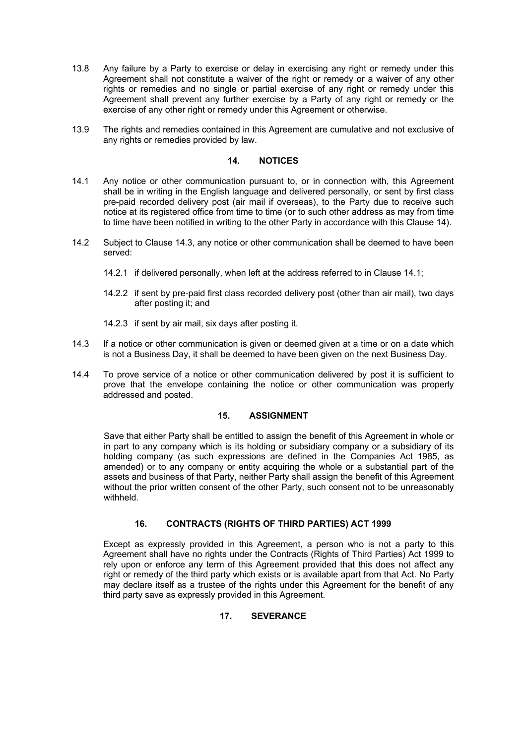- 13.8 Any failure by a Party to exercise or delay in exercising any right or remedy under this Agreement shall not constitute a waiver of the right or remedy or a waiver of any other rights or remedies and no single or partial exercise of any right or remedy under this Agreement shall prevent any further exercise by a Party of any right or remedy or the exercise of any other right or remedy under this Agreement or otherwise.
- 13.9 The rights and remedies contained in this Agreement are cumulative and not exclusive of any rights or remedies provided by law.

# **14. NOTICES**

- 14.1 Any notice or other communication pursuant to, or in connection with, this Agreement shall be in writing in the English language and delivered personally, or sent by first class pre-paid recorded delivery post (air mail if overseas), to the Party due to receive such notice at its registered office from time to time (or to such other address as may from time to time have been notified in writing to the other Party in accordance with this Clause 14).
- 14.2 Subject to Clause 14.3, any notice or other communication shall be deemed to have been served:
	- 14.2.1 if delivered personally, when left at the address referred to in Clause 14.1;
	- 14.2.2 if sent by pre-paid first class recorded delivery post (other than air mail), two days after posting it; and
	- 14.2.3 if sent by air mail, six days after posting it.
- 14.3 If a notice or other communication is given or deemed given at a time or on a date which is not a Business Day, it shall be deemed to have been given on the next Business Day.
- 14.4 To prove service of a notice or other communication delivered by post it is sufficient to prove that the envelope containing the notice or other communication was properly addressed and posted.

# **15. ASSIGNMENT**

Save that either Party shall be entitled to assign the benefit of this Agreement in whole or in part to any company which is its holding or subsidiary company or a subsidiary of its holding company (as such expressions are defined in the Companies Act 1985, as amended) or to any company or entity acquiring the whole or a substantial part of the assets and business of that Party, neither Party shall assign the benefit of this Agreement without the prior written consent of the other Party, such consent not to be unreasonably withheld.

# **16. CONTRACTS (RIGHTS OF THIRD PARTIES) ACT 1999**

Except as expressly provided in this Agreement, a person who is not a party to this Agreement shall have no rights under the Contracts (Rights of Third Parties) Act 1999 to rely upon or enforce any term of this Agreement provided that this does not affect any right or remedy of the third party which exists or is available apart from that Act. No Party may declare itself as a trustee of the rights under this Agreement for the benefit of any third party save as expressly provided in this Agreement.

# **17. SEVERANCE**